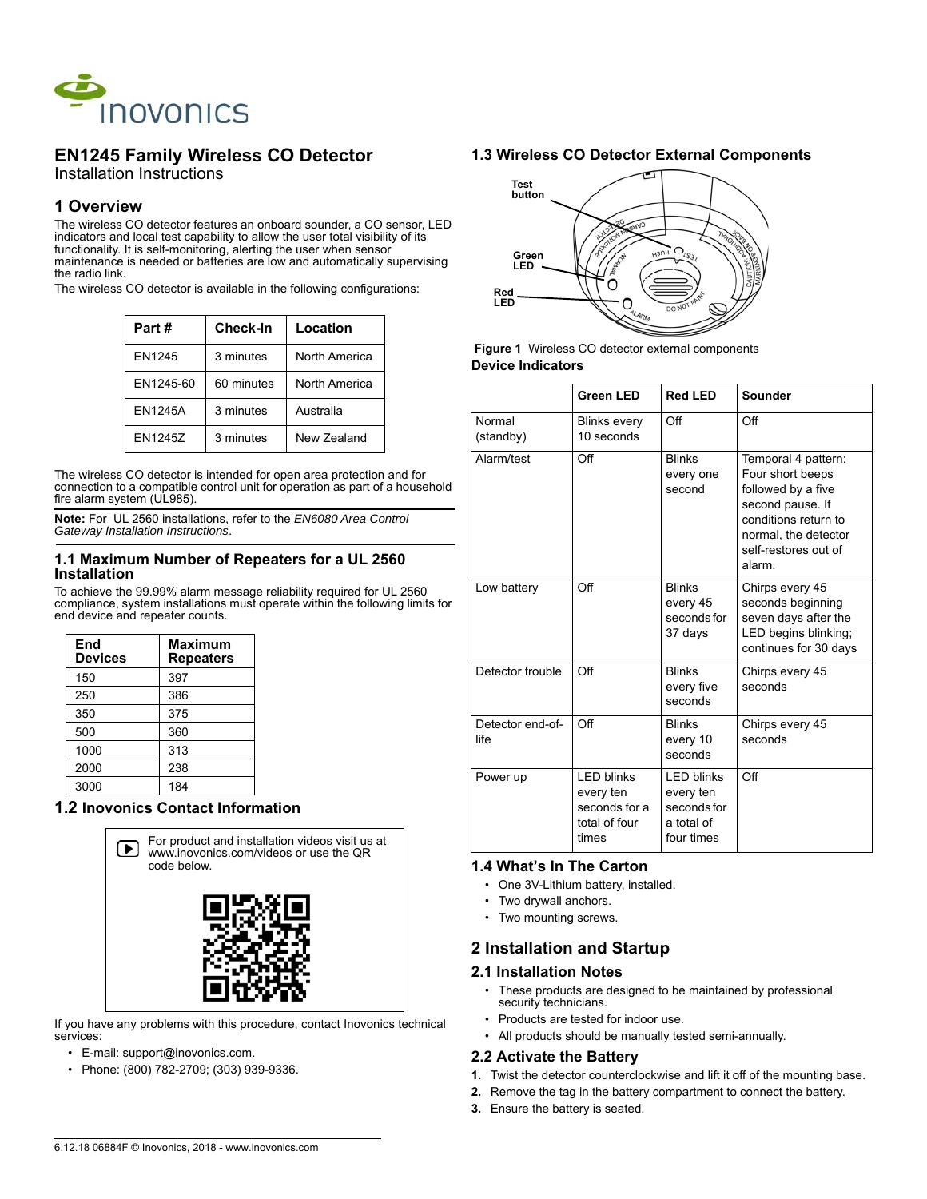

# **EN1245 Family Wireless CO Detector**

Installation Instructions

## **1 Overview**

The wireless CO detector features an onboard sounder, a CO sensor, LED indicators and local test capability to allow the user total visibility of its functionality. It is self-monitoring, alerting the user when sensor maintenance is needed or batteries are low and automatically supervising the radio link.

The wireless CO detector is available in the following configurations:

| Part #         | <b>Check-In</b> | Location      |
|----------------|-----------------|---------------|
| EN1245         | 3 minutes       | North America |
| EN1245-60      | 60 minutes      | North America |
| <b>EN1245A</b> | 3 minutes       | Australia     |
| FN12457        | 3 minutes       | New Zealand   |

The wireless CO detector is intended for open area protection and for connection to a compatible control unit for operation as part of a household fire alarm system (UL985).

**Note:** For UL 2560 installations, refer to the *EN6080 Area Control Gateway Installation Instructions*.

#### **1.1 Maximum Number of Repeaters for a UL 2560 Installation**

To achieve the 99.99% alarm message reliability required for UL 2560 compliance, system installations must operate within the following limits for end device and repeater counts.

| End<br><b>Devices</b> | <b>Maximum</b><br><b>Repeaters</b> |
|-----------------------|------------------------------------|
| 150                   | 397                                |
| 250                   | 386                                |
| 350                   | 375                                |
| 500                   | 360                                |
| 1000                  | 313                                |
| 2000                  | 238                                |
| 3000                  | 184                                |

## **1.2 Inovonics Contact Information**



If you have any problems with this procedure, contact Inovonics technical services:

- E-mail: support@inovonics.com.
- Phone: (800) 782-2709; (303) 939-9336.

### **1.3 Wireless CO Detector External Components**



 **Figure 1** Wireless CO detector external components **Device Indicators**

|                          | <b>Green LED</b>                                                          | <b>Red LED</b>                                                           | Sounder                                                                                                                                                            |
|--------------------------|---------------------------------------------------------------------------|--------------------------------------------------------------------------|--------------------------------------------------------------------------------------------------------------------------------------------------------------------|
| Normal<br>(standby)      | <b>Blinks every</b><br>10 seconds                                         | Off                                                                      | Off                                                                                                                                                                |
| Alarm/test               | Off                                                                       | <b>Blinks</b><br>every one<br>second                                     | Temporal 4 pattern:<br>Four short beeps<br>followed by a five<br>second pause. If<br>conditions return to<br>normal, the detector<br>self-restores out of<br>alarm |
| Low battery              | $\bigcirc$ ff                                                             | <b>Blinks</b><br>every 45<br>seconds for<br>37 days                      | Chirps every 45<br>seconds beginning<br>seven days after the<br>LED begins blinking;<br>continues for 30 days                                                      |
| Detector trouble         | $\bigcirc$ ff                                                             | <b>Blinks</b><br>every five<br>seconds                                   | Chirps every 45<br>seconds                                                                                                                                         |
| Detector end-of-<br>life | $\bigcirc$ ff                                                             | <b>Blinks</b><br>every 10<br>seconds                                     | Chirps every 45<br>seconds                                                                                                                                         |
| Power up                 | <b>LED blinks</b><br>every ten<br>seconds for a<br>total of four<br>times | <b>LED blinks</b><br>every ten<br>secondsfor<br>a total of<br>four times | $\bigcirc$ ff                                                                                                                                                      |

### **1.4 What's In The Carton**

- One 3V-Lithium battery, installed.
- Two drywall anchors.
- Two mounting screws.

### **2 Installation and Startup**

#### **2.1 Installation Notes**

- These products are designed to be maintained by professional security technicians.
- Products are tested for indoor use.
- All products should be manually tested semi-annually.

### **2.2 Activate the Battery**

- **1.** Twist the detector counterclockwise and lift it off of the mounting base.
- **2.** Remove the tag in the battery compartment to connect the battery.
- **3.** Ensure the battery is seated.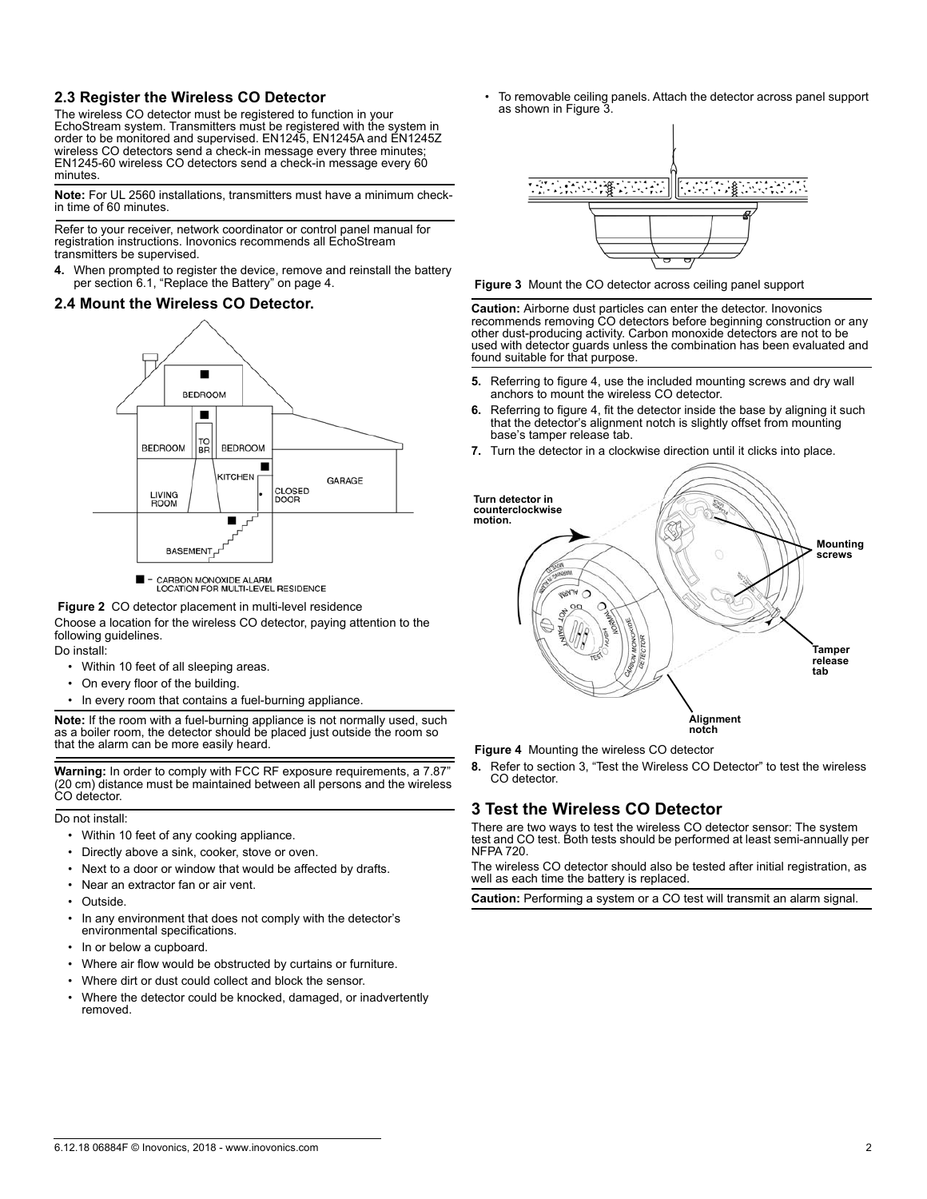### **2.3 Register the Wireless CO Detector**

The wireless CO detector must be registered to function in your EchoStream system. Transmitters must be registered with the system in order to be monitored and supervised. EN1245, EN1245A and EN1245Z wireless CO detectors send a check-in message every three minutes; EN1245-60 wireless CO detectors send a check-in message every 60 minutes.

**Note:** For UL 2560 installations, transmitters must have a minimum checkin time of 60 minutes.

Refer to your receiver, network coordinator or control panel manual for registration instructions. Inovonics recommends all EchoStream transmitters be supervised.

**4.** When prompted to register the device, remove and reinstall the battery per section 6.1, "Replace the Battery" on page 4.

### **2.4 Mount the Wireless CO Detector.**



CARBON MONOXIDE ALARM<br>LOCATION FOR MULTI-LEVEL RESIDENCE

 **Figure 2** CO detector placement in multi-level residence

Choose a location for the wireless CO detector, paying attention to the following guidelines.

- Do install:
	- Within 10 feet of all sleeping areas. • On every floor of the building.
	- In every room that contains a fuel-burning appliance

**Note:** If the room with a fuel-burning appliance is not normally used, such as a boiler room, the detector should be placed just outside the room so that the alarm can be more easily heard.

**Warning:** In order to comply with FCC RF exposure requirements, a 7.87" (20 cm) distance must be maintained between all persons and the wireless CO detector.

#### Do not install:

- Within 10 feet of any cooking appliance.
- Directly above a sink, cooker, stove or oven.
- Next to a door or window that would be affected by drafts.
- Near an extractor fan or air vent.
- Outside.
- In any environment that does not comply with the detector's environmental specifications.
- In or below a cupboard.
- Where air flow would be obstructed by curtains or furniture.
- Where dirt or dust could collect and block the sensor.
- Where the detector could be knocked, damaged, or inadvertently removed.

• To removable ceiling panels. Attach the detector across panel support as shown in Figure 3.



 **Figure 3** Mount the CO detector across ceiling panel support

**Caution:** Airborne dust particles can enter the detector. Inovonics recommends removing CO detectors before beginning construction or any other dust-producing activity. Carbon monoxide detectors are not to be used with detector guards unless the combination has been evaluated and found suitable for that purpose.

- **5.** Referring to figure 4, use the included mounting screws and dry wall anchors to mount the wireless CO detector.
- **6.** Referring to figure 4, fit the detector inside the base by aligning it such that the detector's alignment notch is slightly offset from mounting base's tamper release tab.
- **7.** Turn the detector in a clockwise direction until it clicks into place.



 **Figure 4** Mounting the wireless CO detector

**8.** Refer to section 3, "Test the Wireless CO Detector" to test the wireless CO detector.

## **3 Test the Wireless CO Detector**

There are two ways to test the wireless CO detector sensor: The system test and CO test. Both tests should be performed at least semi-annually per NFPA 720.

The wireless CO detector should also be tested after initial registration, as well as each time the battery is replaced.

**Caution:** Performing a system or a CO test will transmit an alarm signal.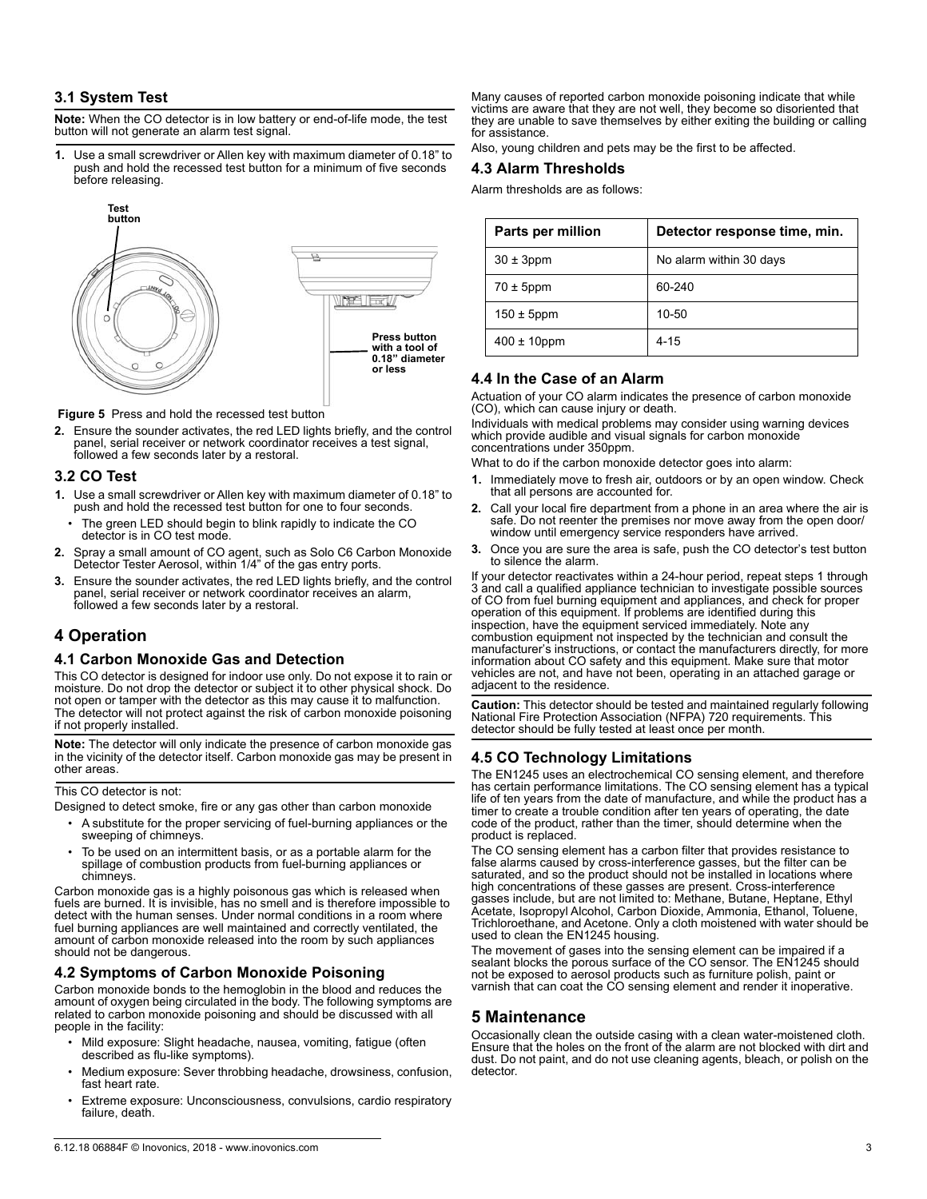### **3.1 System Test**

**Note:** When the CO detector is in low battery or end-of-life mode, the test button will not generate an alarm test signal.

**1.** Use a small screwdriver or Allen key with maximum diameter of 0.18" to push and hold the recessed test button for a minimum of five seconds before releasing.



 **Figure 5** Press and hold the recessed test button

**2.** Ensure the sounder activates, the red LED lights briefly, and the control panel, serial receiver or network coordinator receives a test signal, followed a few seconds later by a restoral.

#### **3.2 CO Test**

- **1.** Use a small screwdriver or Allen key with maximum diameter of 0.18" to push and hold the recessed test button for one to four seconds.
- The green LED should begin to blink rapidly to indicate the CO detector is in CO test mode.
- **2.** Spray a small amount of CO agent, such as Solo C6 Carbon Monoxide Detector Tester Aerosol, within 1/4" of the gas entry ports.
- **3.** Ensure the sounder activates, the red LED lights briefly, and the control panel, serial receiver or network coordinator receives an alarm, followed a few seconds later by a restoral.

## **4 Operation**

### **4.1 Carbon Monoxide Gas and Detection**

This CO detector is designed for indoor use only. Do not expose it to rain or moisture. Do not drop the detector or subject it to other physical shock. Do not open or tamper with the detector as this may cause it to malfunction. The detector will not protect against the risk of carbon monoxide poisoning if not properly installed.

**Note:** The detector will only indicate the presence of carbon monoxide gas in the vicinity of the detector itself. Carbon monoxide gas may be present in other areas.

This CO detector is not:

Designed to detect smoke, fire or any gas other than carbon monoxide

- A substitute for the proper servicing of fuel-burning appliances or the sweeping of chimneys.
- To be used on an intermittent basis, or as a portable alarm for the spillage of combustion products from fuel-burning appliances or chimneys.

Carbon monoxide gas is a highly poisonous gas which is released when fuels are burned. It is invisible, has no smell and is therefore impossible to detect with the human senses. Under normal conditions in a room where fuel burning appliances are well maintained and correctly ventilated, the amount of carbon monoxide released into the room by such appliances should not be dangerous.

### **4.2 Symptoms of Carbon Monoxide Poisoning**

Carbon monoxide bonds to the hemoglobin in the blood and reduces the amount of oxygen being circulated in the body. The following symptoms are related to carbon monoxide poisoning and should be discussed with all people in the facility:

- Mild exposure: Slight headache, nausea, vomiting, fatigue (often described as flu-like symptoms).
- Medium exposure: Sever throbbing headache, drowsiness, confusion, fast heart rate.
- Extreme exposure: Unconsciousness, convulsions, cardio respiratory failure, death.

Many causes of reported carbon monoxide poisoning indicate that while victims are aware that they are not well, they become so disoriented that they are unable to save themselves by either exiting the building or calling for assistance.

#### Also, young children and pets may be the first to be affected.

#### **4.3 Alarm Thresholds**

Alarm thresholds are as follows:

| Parts per million | Detector response time, min. |
|-------------------|------------------------------|
| $30 \pm 3$ ppm    | No alarm within 30 days      |
| $70 \pm 5$ ppm    | 60-240                       |
| $150 \pm 5$ ppm   | $10 - 50$                    |
| $400 \pm 10$ ppm  | $4 - 15$                     |

### **4.4 In the Case of an Alarm**

Actuation of your CO alarm indicates the presence of carbon monoxide (CO), which can cause injury or death.

Individuals with medical problems may consider using warning devices which provide audible and visual signals for carbon monoxide concentrations under 350ppm.

What to do if the carbon monoxide detector goes into alarm:

- **1.** Immediately move to fresh air, outdoors or by an open window. Check that all persons are accounted for.
- **2.** Call your local fire department from a phone in an area where the air is safe. Do not reenter the premises nor move away from the open door/ window until emergency service responders have arrived.
- **3.** Once you are sure the area is safe, push the CO detector's test button to silence the alarm.

If your detector reactivates within a 24-hour period, repeat steps 1 through 3 and call a qualified appliance technician to investigate possible sources of CO from fuel burning equipment and appliances, and check for proper operation of this equipment. If problems are identified during this inspection, have the equipment serviced immediately. Note any combustion equipment not inspected by the technician and consult the manufacturer's instructions, or contact the manufacturers directly, for more information about CO safety and this equipment. Make sure that motor vehicles are not, and have not been, operating in an attached garage or adjacent to the residence.

**Caution:** This detector should be tested and maintained regularly following National Fire Protection Association (NFPA) 720 requirements. This detector should be fully tested at least once per month.

### **4.5 CO Technology Limitations**

The EN1245 uses an electrochemical CO sensing element, and therefore has certain performance limitations. The CO sensing element has a typical life of ten years from the date of manufacture, and while the product has a timer to create a trouble condition after ten years of operating, the date code of the product, rather than the timer, should determine when the product is replaced.

The CO sensing element has a carbon filter that provides resistance to false alarms caused by cross-interference gasses, but the filter can be saturated, and so the product should not be installed in locations where high concentrations of these gasses are present. Cross-interference gasses include, but are not limited to: Methane, Butane, Heptane, Ethyl Acetate, Isopropyl Alcohol, Carbon Dioxide, Ammonia, Ethanol, Toluene, Trichloroethane, and Acetone. Only a cloth moistened with water should be used to clean the EN1245 housing.

The movement of gases into the sensing element can be impaired if a sealant blocks the porous surface of the CO sensor. The EN1245 should not be exposed to aerosol products such as furniture polish, paint or varnish that can coat the CO sensing element and render it inoperative.

### **5 Maintenance**

Occasionally clean the outside casing with a clean water-moistened cloth. Ensure that the holes on the front of the alarm are not blocked with dirt and dust. Do not paint, and do not use cleaning agents, bleach, or polish on the detector.